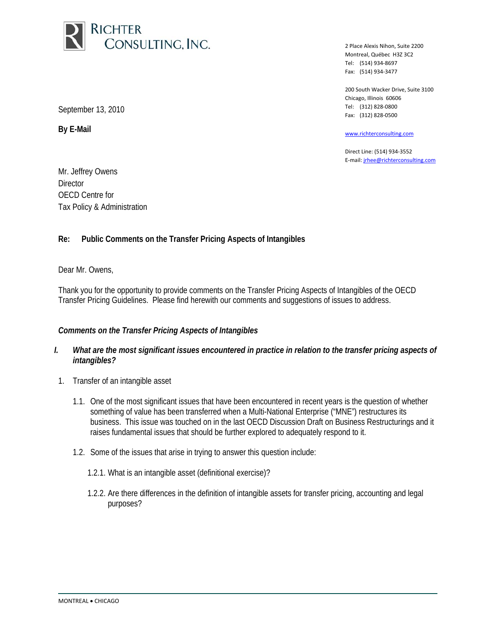

2 Place Alexis Nihon, Suite 2200 Montreal, Québec H3Z 3C2 Tel: (514) 934-8697 Fax: (514) 934-3477

200 South Wacker Drive, Suite 3100 Chicago, Illinois 60606 Tel: (312) 828-0800 Fax: (312) 828-0500

www.richterconsulting.com

Direct Line: (514) 934-3552 E-mail: jrhee@richterconsulting.com

September 13, 2010

**By E-Mail** 

Mr. Jeffrey Owens **Director** OECD Centre for Tax Policy & Administration

## **Re: Public Comments on the Transfer Pricing Aspects of Intangibles**

Dear Mr. Owens,

Thank you for the opportunity to provide comments on the Transfer Pricing Aspects of Intangibles of the OECD Transfer Pricing Guidelines. Please find herewith our comments and suggestions of issues to address.

## *Comments on the Transfer Pricing Aspects of Intangibles*

- *I. What are the most significant issues encountered in practice in relation to the transfer pricing aspects of intangibles?*
- 1. Transfer of an intangible asset
	- 1.1. One of the most significant issues that have been encountered in recent years is the question of whether something of value has been transferred when a Multi-National Enterprise ("MNE") restructures its business. This issue was touched on in the last OECD Discussion Draft on Business Restructurings and it raises fundamental issues that should be further explored to adequately respond to it.
	- 1.2. Some of the issues that arise in trying to answer this question include:
		- 1.2.1. What is an intangible asset (definitional exercise)?
		- 1.2.2. Are there differences in the definition of intangible assets for transfer pricing, accounting and legal purposes?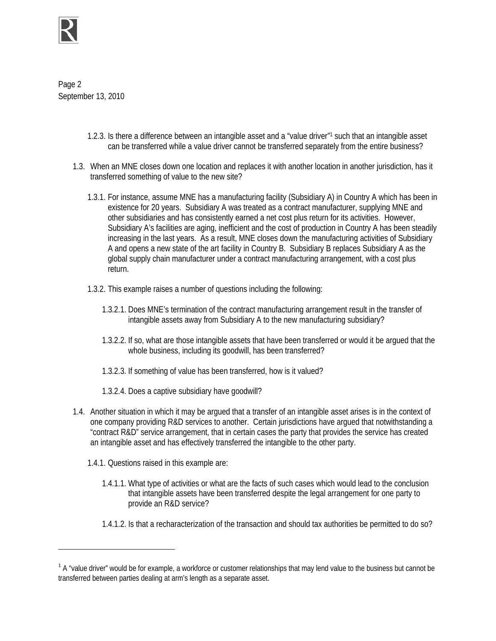

 $\overline{a}$ 

Page 2 September 13, 2010

- 1.2.3. Is there a difference between an intangible asset and a "value driver"1 such that an intangible asset can be transferred while a value driver cannot be transferred separately from the entire business?
- 1.3. When an MNE closes down one location and replaces it with another location in another jurisdiction, has it transferred something of value to the new site?
	- 1.3.1. For instance, assume MNE has a manufacturing facility (Subsidiary A) in Country A which has been in existence for 20 years. Subsidiary A was treated as a contract manufacturer, supplying MNE and other subsidiaries and has consistently earned a net cost plus return for its activities. However, Subsidiary A's facilities are aging, inefficient and the cost of production in Country A has been steadily increasing in the last years. As a result, MNE closes down the manufacturing activities of Subsidiary A and opens a new state of the art facility in Country B. Subsidiary B replaces Subsidiary A as the global supply chain manufacturer under a contract manufacturing arrangement, with a cost plus return.
	- 1.3.2. This example raises a number of questions including the following:
		- 1.3.2.1. Does MNE's termination of the contract manufacturing arrangement result in the transfer of intangible assets away from Subsidiary A to the new manufacturing subsidiary?
		- 1.3.2.2. If so, what are those intangible assets that have been transferred or would it be argued that the whole business, including its goodwill, has been transferred?
		- 1.3.2.3. If something of value has been transferred, how is it valued?
		- 1.3.2.4. Does a captive subsidiary have goodwill?
- 1.4. Another situation in which it may be argued that a transfer of an intangible asset arises is in the context of one company providing R&D services to another. Certain jurisdictions have argued that notwithstanding a "contract R&D" service arrangement, that in certain cases the party that provides the service has created an intangible asset and has effectively transferred the intangible to the other party.
	- 1.4.1. Questions raised in this example are:
		- 1.4.1.1. What type of activities or what are the facts of such cases which would lead to the conclusion that intangible assets have been transferred despite the legal arrangement for one party to provide an R&D service?
		- 1.4.1.2. Is that a recharacterization of the transaction and should tax authorities be permitted to do so?

 $1A$  "value driver" would be for example, a workforce or customer relationships that may lend value to the business but cannot be transferred between parties dealing at arm's length as a separate asset.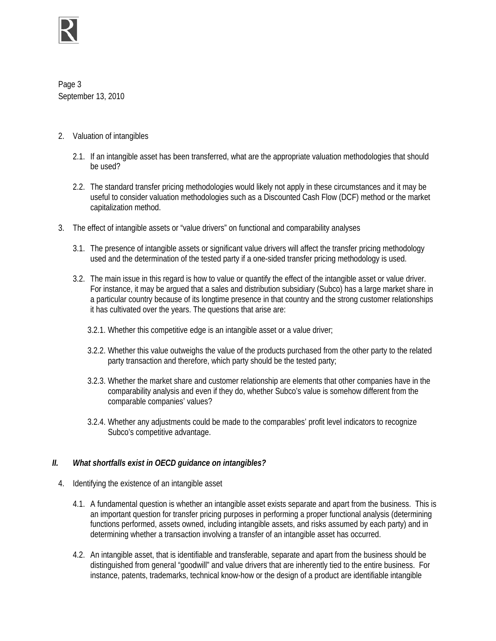

Page 3 September 13, 2010

- 2. Valuation of intangibles
	- 2.1. If an intangible asset has been transferred, what are the appropriate valuation methodologies that should be used?
	- 2.2. The standard transfer pricing methodologies would likely not apply in these circumstances and it may be useful to consider valuation methodologies such as a Discounted Cash Flow (DCF) method or the market capitalization method.
- 3. The effect of intangible assets or "value drivers" on functional and comparability analyses
	- 3.1. The presence of intangible assets or significant value drivers will affect the transfer pricing methodology used and the determination of the tested party if a one-sided transfer pricing methodology is used.
	- 3.2. The main issue in this regard is how to value or quantify the effect of the intangible asset or value driver. For instance, it may be argued that a sales and distribution subsidiary (Subco) has a large market share in a particular country because of its longtime presence in that country and the strong customer relationships it has cultivated over the years. The questions that arise are:
		- 3.2.1. Whether this competitive edge is an intangible asset or a value driver;
		- 3.2.2. Whether this value outweighs the value of the products purchased from the other party to the related party transaction and therefore, which party should be the tested party;
		- 3.2.3. Whether the market share and customer relationship are elements that other companies have in the comparability analysis and even if they do, whether Subco's value is somehow different from the comparable companies' values?
		- 3.2.4. Whether any adjustments could be made to the comparables' profit level indicators to recognize Subco's competitive advantage.

# *II. What shortfalls exist in OECD guidance on intangibles?*

- 4. Identifying the existence of an intangible asset
	- 4.1. A fundamental question is whether an intangible asset exists separate and apart from the business. This is an important question for transfer pricing purposes in performing a proper functional analysis (determining functions performed, assets owned, including intangible assets, and risks assumed by each party) and in determining whether a transaction involving a transfer of an intangible asset has occurred.
	- 4.2. An intangible asset, that is identifiable and transferable, separate and apart from the business should be distinguished from general "goodwill" and value drivers that are inherently tied to the entire business. For instance, patents, trademarks, technical know-how or the design of a product are identifiable intangible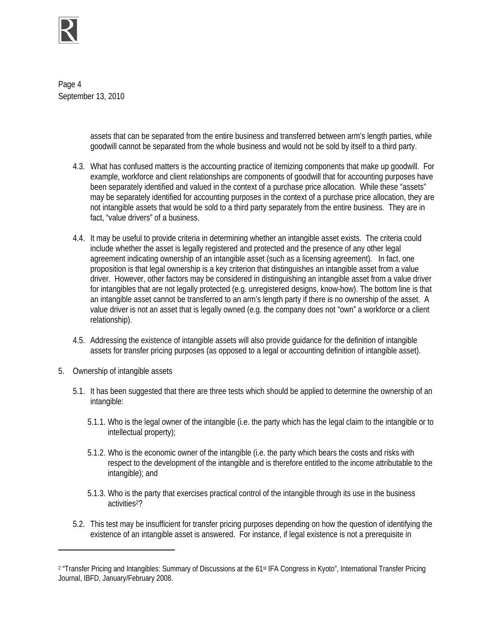

Page 4 September 13, 2010

> assets that can be separated from the entire business and transferred between arm's length parties, while goodwill cannot be separated from the whole business and would not be sold by itself to a third party.

- 4.3. What has confused matters is the accounting practice of itemizing components that make up goodwill. For example, workforce and client relationships are components of goodwill that for accounting purposes have been separately identified and valued in the context of a purchase price allocation. While these "assets" may be separately identified for accounting purposes in the context of a purchase price allocation, they are not intangible assets that would be sold to a third party separately from the entire business. They are in fact, "value drivers" of a business.
- 4.4. It may be useful to provide criteria in determining whether an intangible asset exists. The criteria could include whether the asset is legally registered and protected and the presence of any other legal agreement indicating ownership of an intangible asset (such as a licensing agreement). In fact, one proposition is that legal ownership is a key criterion that distinguishes an intangible asset from a value driver. However, other factors may be considered in distinguishing an intangible asset from a value driver for intangibles that are not legally protected (e.g. unregistered designs, know-how). The bottom line is that an intangible asset cannot be transferred to an arm's length party if there is no ownership of the asset. A value driver is not an asset that is legally owned (e.g. the company does not "own" a workforce or a client relationship).
- 4.5. Addressing the existence of intangible assets will also provide guidance for the definition of intangible assets for transfer pricing purposes (as opposed to a legal or accounting definition of intangible asset).
- 5. Ownership of intangible assets

1

- 5.1. It has been suggested that there are three tests which should be applied to determine the ownership of an intangible:
	- 5.1.1. Who is the legal owner of the intangible (i.e. the party which has the legal claim to the intangible or to intellectual property);
	- 5.1.2. Who is the economic owner of the intangible (i.e. the party which bears the costs and risks with respect to the development of the intangible and is therefore entitled to the income attributable to the intangible); and
	- 5.1.3. Who is the party that exercises practical control of the intangible through its use in the business activities<sup>2</sup>?
- 5.2. This test may be insufficient for transfer pricing purposes depending on how the question of identifying the existence of an intangible asset is answered. For instance, if legal existence is not a prerequisite in

<sup>&</sup>lt;sup>2</sup> "Transfer Pricing and Intangibles: Summary of Discussions at the 61<sup>st</sup> IFA Congress in Kyoto", International Transfer Pricing Journal, IBFD, January/February 2008.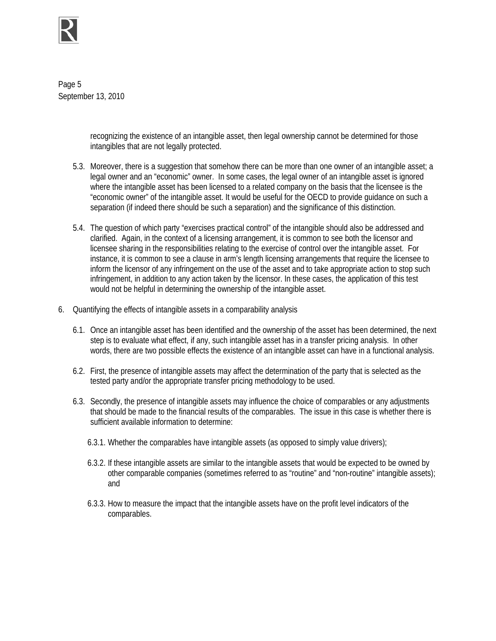

Page 5 September 13, 2010

> recognizing the existence of an intangible asset, then legal ownership cannot be determined for those intangibles that are not legally protected.

- 5.3. Moreover, there is a suggestion that somehow there can be more than one owner of an intangible asset; a legal owner and an "economic" owner. In some cases, the legal owner of an intangible asset is ignored where the intangible asset has been licensed to a related company on the basis that the licensee is the "economic owner" of the intangible asset. It would be useful for the OECD to provide guidance on such a separation (if indeed there should be such a separation) and the significance of this distinction.
- 5.4. The question of which party "exercises practical control" of the intangible should also be addressed and clarified. Again, in the context of a licensing arrangement, it is common to see both the licensor and licensee sharing in the responsibilities relating to the exercise of control over the intangible asset. For instance, it is common to see a clause in arm's length licensing arrangements that require the licensee to inform the licensor of any infringement on the use of the asset and to take appropriate action to stop such infringement, in addition to any action taken by the licensor. In these cases, the application of this test would not be helpful in determining the ownership of the intangible asset.
- 6. Quantifying the effects of intangible assets in a comparability analysis
	- 6.1. Once an intangible asset has been identified and the ownership of the asset has been determined, the next step is to evaluate what effect, if any, such intangible asset has in a transfer pricing analysis. In other words, there are two possible effects the existence of an intangible asset can have in a functional analysis.
	- 6.2. First, the presence of intangible assets may affect the determination of the party that is selected as the tested party and/or the appropriate transfer pricing methodology to be used.
	- 6.3. Secondly, the presence of intangible assets may influence the choice of comparables or any adjustments that should be made to the financial results of the comparables. The issue in this case is whether there is sufficient available information to determine:
		- 6.3.1. Whether the comparables have intangible assets (as opposed to simply value drivers);
		- 6.3.2. If these intangible assets are similar to the intangible assets that would be expected to be owned by other comparable companies (sometimes referred to as "routine" and "non-routine" intangible assets); and
		- 6.3.3. How to measure the impact that the intangible assets have on the profit level indicators of the comparables.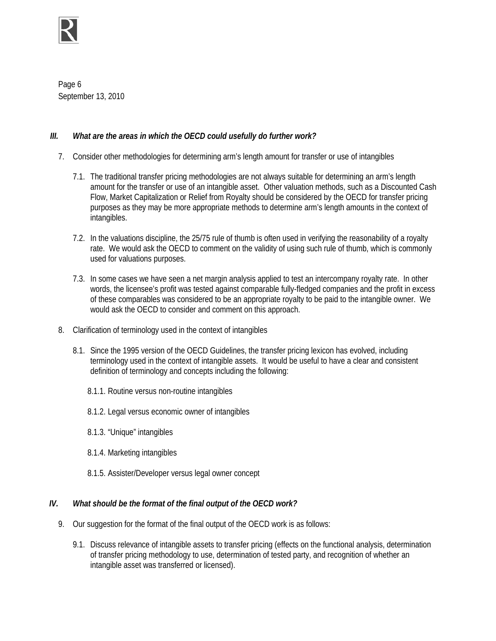

Page 6 September 13, 2010

# *III. What are the areas in which the OECD could usefully do further work?*

- 7. Consider other methodologies for determining arm's length amount for transfer or use of intangibles
	- 7.1. The traditional transfer pricing methodologies are not always suitable for determining an arm's length amount for the transfer or use of an intangible asset. Other valuation methods, such as a Discounted Cash Flow, Market Capitalization or Relief from Royalty should be considered by the OECD for transfer pricing purposes as they may be more appropriate methods to determine arm's length amounts in the context of intangibles.
	- 7.2. In the valuations discipline, the 25/75 rule of thumb is often used in verifying the reasonability of a royalty rate. We would ask the OECD to comment on the validity of using such rule of thumb, which is commonly used for valuations purposes.
	- 7.3. In some cases we have seen a net margin analysis applied to test an intercompany royalty rate. In other words, the licensee's profit was tested against comparable fully-fledged companies and the profit in excess of these comparables was considered to be an appropriate royalty to be paid to the intangible owner. We would ask the OECD to consider and comment on this approach.
- 8. Clarification of terminology used in the context of intangibles
	- 8.1. Since the 1995 version of the OECD Guidelines, the transfer pricing lexicon has evolved, including terminology used in the context of intangible assets. It would be useful to have a clear and consistent definition of terminology and concepts including the following:
		- 8.1.1. Routine versus non-routine intangibles
		- 8.1.2. Legal versus economic owner of intangibles
		- 8.1.3. "Unique" intangibles
		- 8.1.4. Marketing intangibles
		- 8.1.5. Assister/Developer versus legal owner concept

# *IV. What should be the format of the final output of the OECD work?*

- 9. Our suggestion for the format of the final output of the OECD work is as follows:
	- 9.1. Discuss relevance of intangible assets to transfer pricing (effects on the functional analysis, determination of transfer pricing methodology to use, determination of tested party, and recognition of whether an intangible asset was transferred or licensed).